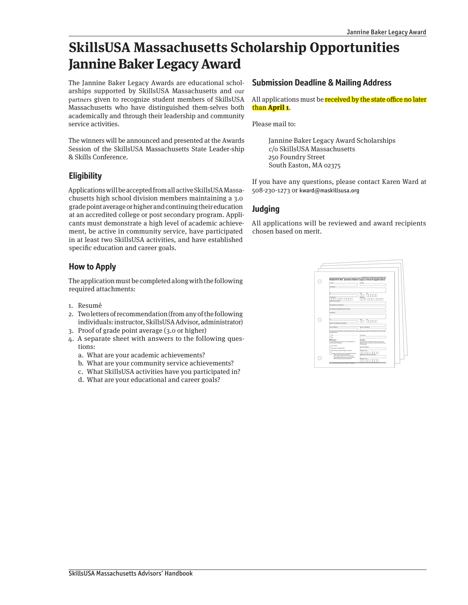# **SkillsUSA Massachusetts Scholarship Opportunities Jannine Baker Legacy Award**

The Jannine Baker Legacy Awards are educational scholarships supported by SkillsUSA Massachusetts and our partners given to recognize student members of SkillsUSA Massachusetts who have distinguished them-selves both academically and through their leadership and community service activities.

The winners will be announced and presented at the Awards Session of the SkillsUSA Massachusetts State Leader-ship & Skills Conference.

### **Eligibility**

Applications will be accepted from all active SkillsUSA Massachusetts high school division members maintaining a 3.0 grade point average or higher and continuing their education at an accredited college or post secondary program. Applicants must demonstrate a high level of academic achievement, be active in community service, have participated in at least two SkillsUSA activities, and have established specific education and career goals.

## **How to Apply**

The application must be completed along with the following required attachments:

- 1. Resumé
- 2. Two letters of recommendation (from any of the following individuals: instructor, SkillsUSA Advisor, administrator)
- 3. Proof of grade point average (3.0 or higher)
- 4. A separate sheet with answers to the following questions:
	- a. What are your academic achievements?
	- b. What are your community service achievements?
	- c. What SkillsUSA activities have you participated in?
	- d. What are your educational and career goals?

#### **Submission Deadline & Mailing Address**

All applications must be **received by the state office no later** than **April 1**.

Please mail to:

Jannine Baker Legacy Award Scholarships c/o SkillsUSA Massachusetts 250 Foundry Street South Easton, MA 02375

If you have any questions, please contact Karen Ward at 508-230-1273 or kward@maskillsusa.org

## **Judging**

All applications will be reviewed and award recipients chosen based on merit.